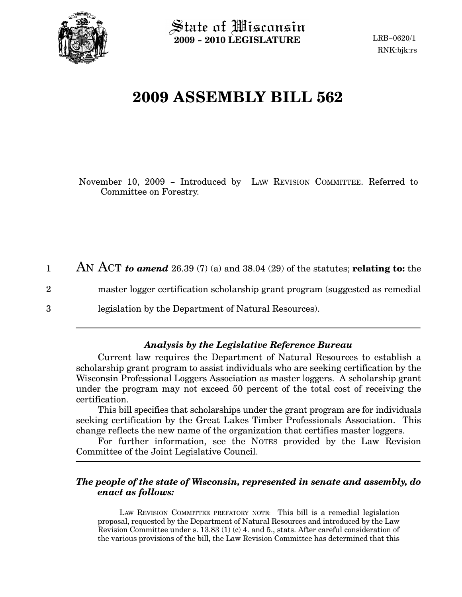

2

3

State of Wisconsin 2009 − 2010 LEGISLATURE

# 2009 ASSEMBLY BILL 562

November 10, 2009 − Introduced by LAW REVISION COMMITTEE. Referred to Committee on Forestry.

AN ACT to amend 26.39 (7) (a) and 38.04 (29) of the statutes; relating to: the 1

master logger certification scholarship grant program (suggested as remedial

legislation by the Department of Natural Resources).

## Analysis by the Legislative Reference Bureau

Current law requires the Department of Natural Resources to establish a scholarship grant program to assist individuals who are seeking certification by the Wisconsin Professional Loggers Association as master loggers. A scholarship grant under the program may not exceed 50 percent of the total cost of receiving the certification.

This bill specifies that scholarships under the grant program are for individuals seeking certification by the Great Lakes Timber Professionals Association. This change reflects the new name of the organization that certifies master loggers.

For further information, see the NOTES provided by the Law Revision Committee of the Joint Legislative Council.

### The people of the state of Wisconsin, represented in senate and assembly, do enact as follows:

LAW REVISION COMMITTEE PREFATORY NOTE: This bill is a remedial legislation proposal, requested by the Department of Natural Resources and introduced by the Law Revision Committee under s. 13.83 (1) (c) 4. and 5., stats. After careful consideration of the various provisions of the bill, the Law Revision Committee has determined that this